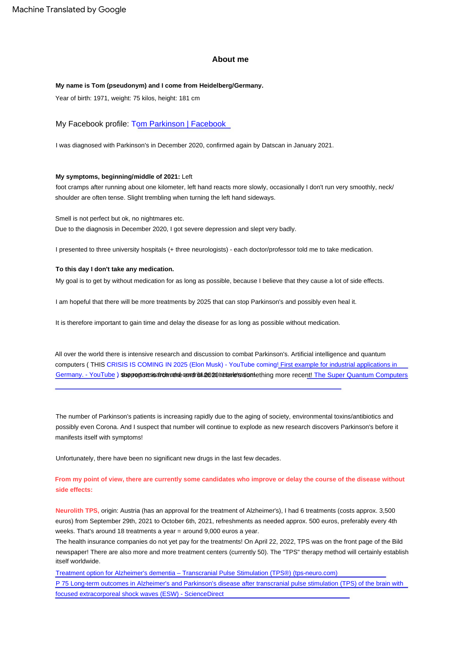#### **About me**

#### **My name is Tom (pseudonym) and I come from Heidelberg/Germany.**

Year of birth: 1971, weight: 75 kilos, height: 181 cm

My Facebook profile: [Tom Parkinson | Facebook](https://web.facebook.com/profile.php?id=100077668842588)

I was diagnosed with Parkinson's in December 2020, confirmed again by Datscan in January 2021.

#### **My symptoms, beginning/middle of 2021:** Left

foot cramps after running about one kilometer, left hand reacts more slowly, occasionally I don't run very smoothly, neck/ shoulder are often tense. Slight trembling when turning the left hand sideways.

Due to the diagnosis in December 2020, I got severe depression and slept very badly. Smell is not perfect but ok, no nightmares etc.

I presented to three university hospitals (+ three neurologists) - each doctor/professor told me to take medication.

#### **To this day I don't take any medication.**

My goal is to get by without medication for as long as possible, because I believe that they cause a lot of side effects.

I am hopeful that there will be more treatments by 2025 that can stop Parkinson's and possibly even heal it.

It is therefore important to gain time and delay the disease for as long as possible without medication.

Germany. - YouTube ) stupportoresis afrolmathe cendriblue and the research and the more recent! [The Super Quantum Computers](https://www.youtube.com/watch?v=ts1YBvzXTXA) All over the world there is intensive research and discussion to combat Parkinson's. Artificial intelligence and quantum [computers \( THIS CRISIS IS COMING IN 2025 \(Elon Musk\) - YouTube coming! First example for industrial applications in](https://www.youtube.com/watch?v=ts1YBvzXTXA) 

The number of Parkinson's patients is increasing rapidly due to the aging of society, environmental toxins/antibiotics and possibly even Corona. And I suspect that number will continue to explode as new research discovers Parkinson's before it manifests itself with symptoms!

Unfortunately, there have been no significant new drugs in the last few decades.

## **From my point of view, there are currently some candidates who improve or delay the course of the disease without side effects:**

**Neurolith TPS,** origin: Austria (has an approval for the treatment of Alzheimer's), I had 6 treatments (costs approx. 3,500 euros) from September 29th, 2021 to October 6th, 2021, refreshments as needed approx. 500 euros, preferably every 4th weeks. That's around 18 treatments a year = around 9,000 euros a year.

The health insurance companies do not yet pay for the treatments! On April 22, 2022, TPS was on the front page of the Bild newspaper! There are also more and more treatment centers (currently 50). The "TPS" therapy method will certainly establish itself worldwide.

[Treatment option for Alzheimer's dementia – Transcranial Pulse Stimulation \(TPS®\) \(tps-neuro.com\)](https://www.tps-neuro.com/de/) [P 75 Long-term outcomes in Alzheimer's and Parkinson's disease after transcranial pulse stimulation \(TPS\) of the brain with](https://www.sciencedirect.com/science/article/abs/pii/S1388245722001249)  focused extracorporeal shock waves (ESW) - ScienceDirect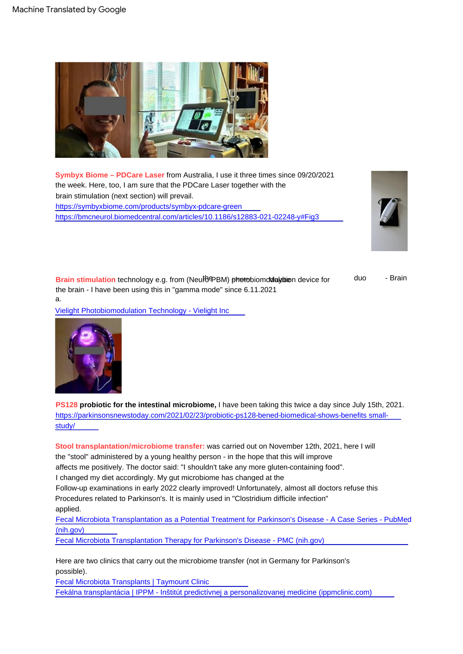

**Symbyx Biome – PDCare Laser** from Australia, I use it three times since 09/20/2021 the week. Here, too, I am sure that the PDCare Laser together with the brain stimulation (next section) will prevail. <https://symbyxbiome.com/products/symbyx-pdcare-green> <https://bmcneurol.biomedcentral.com/articles/10.1186/s12883-021-02248-y#Fig3>



Brain stimulation technology e.g. from (NeutoPBM) photobiomoldaletien device for the brain - I have been using this in "gamma mode" since 6.11.2021 a. duo - Brain

[Vielight Photobiomodulation Technology - Vielight Inc](https://www.vielight.com/)



**PS128 probiotic for the intestinal microbiome, I** have been taking this twice a day since July 15th, 2021. [https://parkinsonsnewstoday.com/2021/02/23/probiotic-ps128-bened-biomedical-shows-benefits small](https://parkinsonsnewstoday.com/2021/02/23/probiotic-ps128-bened-biomedical-shows-benefits-small-study/)study/

the "stool" administered by a young healthy person - in the hope that this will improve affects me positively. The doctor said: "I shouldn't take any more gluten-containing food". I changed my diet accordingly. My gut microbiome has changed at the Follow-up examinations in early 2022 clearly improved! Unfortunately, almost all doctors refuse this Procedures related to Parkinson's. It is mainly used in "Clostridium difficile infection" applied. [Fecal Microbiota Transplantation as a Potential Treatment for Parkinson's Disease - A Case Series - PubMed](https://pubmed.ncbi.nlm.nih.gov/34237681/)  (nih.gov) [Fecal Microbiota Transplantation Therapy for Parkinson's Disease - PMC \(nih.gov\)](https://www.ncbi.nlm.nih.gov/pmc/articles/PMC7458210/) **Stool transplantation/microbiome transfer:** was carried out on November 12th, 2021, here I will

possible). Here are two clinics that carry out the microbiome transfer (not in Germany for Parkinson's

[Fecal Microbiota Transplants | Taymount Clinic](https://taymount.com/) [Fekálna transplantácia | IPPM - Inštitút predictívnej a personalizovanej medicine \(ippmclinic.com\)](https://www.ippmclinic.com/sk/fekalna-transplantacia)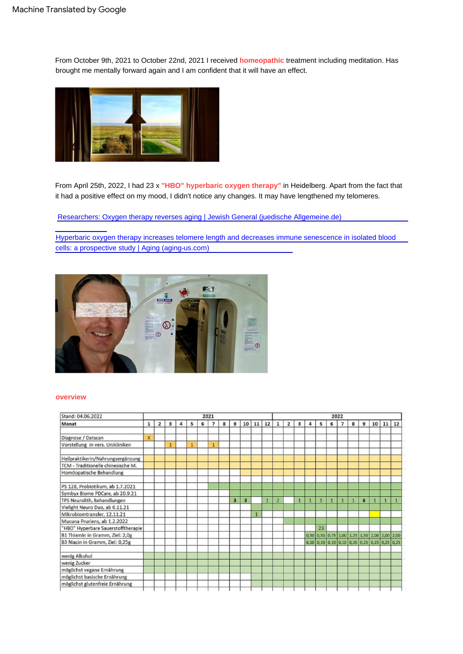From October 9th, 2021 to October 22nd, 2021 I received **homeopathic** treatment including meditation. Has brought me mentally forward again and I am confident that it will have an effect.



From April 25th, 2022, I had 23 x **"HBO" hyperbaric oxygen therapy"** in Heidelberg. Apart from the fact that it had a positive effect on my mood, I didn't notice any changes. It may have lengthened my telomeres.

[Researchers: Oxygen therapy reverses aging | Jewish General \(juedische Allgemeine.de\)](https://www.juedische-allgemeine.de/israel/forscher-sauerstofftherapie-kehrt-alterungsprozess-um/)

[Hyperbaric oxygen therapy increases telomere length and decreases immune senescence in isolated blood](https://www.aging-us.com/article/202188/text#f3)  cells: a prospective study | Aging (aging-us.com)



### **overview**

| Stand: 04.06.2022<br>Monat         | 2021                    |                |              |   |   |   |                |   |   |    |    |              |                | 2022           |              |              |              |                                                |                |              |   |              |              |    |  |
|------------------------------------|-------------------------|----------------|--------------|---|---|---|----------------|---|---|----|----|--------------|----------------|----------------|--------------|--------------|--------------|------------------------------------------------|----------------|--------------|---|--------------|--------------|----|--|
|                                    | $\mathbf{1}$            | $\overline{2}$ | 3            | 4 | 5 | 6 | $\overline{7}$ | 8 | 9 | 10 | 11 | 12           | $\mathbf{1}$   | $\overline{2}$ | 3            | 4            | 5            | 6                                              | $\overline{7}$ | 8            | 9 | 10           | 11           | 12 |  |
| Diagnose / Datscan                 | $\overline{\mathsf{x}}$ |                |              |   |   |   |                |   |   |    |    |              |                |                |              |              |              |                                                |                |              |   |              |              |    |  |
| Vorstellung in vers. Unikliniken   |                         |                | $\mathbf{1}$ |   | 1 |   | $\mathbf{1}$   |   |   |    |    |              |                |                |              |              |              |                                                |                |              |   |              |              |    |  |
| Heilpraktikerin/Nahrungsergänzung  |                         |                |              |   |   |   |                |   |   |    |    |              |                |                |              |              |              |                                                |                |              |   |              |              |    |  |
| TCM - Traditionelle chinesische M. |                         |                |              |   |   |   |                |   |   |    |    |              |                |                |              |              |              |                                                |                |              |   |              |              |    |  |
| Homöopatische Behandlung           |                         |                |              |   |   |   |                |   |   |    |    |              |                |                |              |              |              |                                                |                |              |   |              |              |    |  |
| PS 128, Probiotikum, ab 1.7.2021   |                         |                |              |   |   |   |                |   |   |    |    |              |                |                |              |              |              |                                                |                |              |   |              |              |    |  |
| Symbyx Biome PDCare, ab 20.9.21    |                         |                |              |   |   |   |                |   |   |    |    |              |                |                |              |              |              |                                                |                |              |   |              |              |    |  |
| TPS Neurolith, Behandlungen        |                         |                |              |   |   |   |                |   | 3 | 3  |    | $\mathbf{1}$ | $\overline{2}$ |                | $\mathbf{1}$ | $\mathbf{1}$ | $\mathbf{1}$ | $\mathbf{1}$                                   | $\mathbf{1}$   | $\mathbf{1}$ | 6 | $\mathbf{1}$ | $\mathbf{1}$ | п  |  |
| Vielight Neuro Duo, ab 6.11.21     |                         |                |              |   |   |   |                |   |   |    |    |              |                |                |              |              |              |                                                |                |              |   |              |              |    |  |
| Mikrobiomtransfer, 12.11.21        |                         |                |              |   |   |   |                |   |   |    |    |              |                |                |              |              |              |                                                |                |              |   |              |              |    |  |
| Mucuna Pruriens, ab 1.2.2022       |                         |                |              |   |   |   |                |   |   |    |    |              |                |                |              |              |              |                                                |                |              |   |              |              |    |  |
| "HBO" Hyperbare Sauerstofftherapie |                         |                |              |   |   |   |                |   |   |    |    |              |                |                |              |              | 23           |                                                |                |              |   |              |              |    |  |
| B1 Thiamin in Gramm, Ziel: 2,0g    |                         |                |              |   |   |   |                |   |   |    |    |              |                |                |              |              |              | 0,50 0,50 0,75 1,00 1,25 1,50 2,00 2,00 2,00   |                |              |   |              |              |    |  |
| B3 Niacin in Gramm, Ziel: 0,25g    |                         |                |              |   |   |   |                |   |   |    |    |              |                |                |              |              |              | $0,10$ 0,10 0,10 0,10 0,20 0,25 0,25 0,25 0,25 |                |              |   |              |              |    |  |
| wenig Alkohol                      |                         |                |              |   |   |   |                |   |   |    |    |              |                |                |              |              |              |                                                |                |              |   |              |              |    |  |
| wenig Zucker                       |                         |                |              |   |   |   |                |   |   |    |    |              |                |                |              |              |              |                                                |                |              |   |              |              |    |  |
| möglichst vegane Ernährung         |                         |                |              |   |   |   |                |   |   |    |    |              |                |                |              |              |              |                                                |                |              |   |              |              |    |  |
| möglichst basische Ernährung       |                         |                |              |   |   |   |                |   |   |    |    |              |                |                |              |              |              |                                                |                |              |   |              |              |    |  |
| möglichst glutenfreie Ernährung    |                         |                |              |   |   |   |                |   |   |    |    |              |                |                |              |              |              |                                                |                |              |   |              |              |    |  |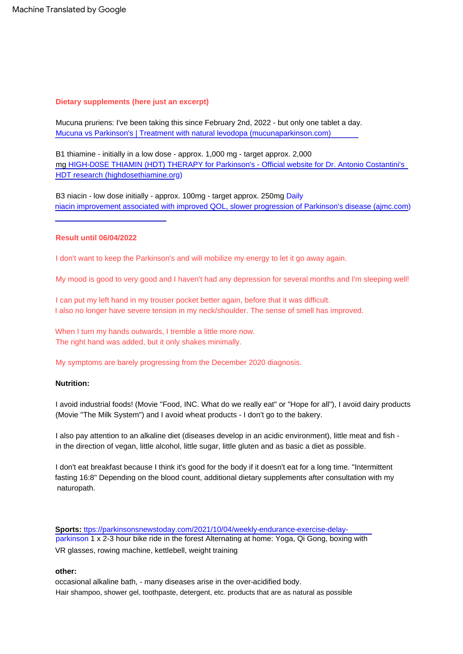# **Dietary supplements (here just an excerpt)**

Mucuna pruriens: I've been taking this since February 2nd, 2022 - but only one tablet a day. [Mucuna vs Parkinson's | Treatment with natural levodopa \(mucunaparkinson.com\)](https://mucunaparkinson.com/)

B1 thiamine - initially in a low dose - approx. 1,000 mg - target approx. 2,000 [mg HIGH-D0SE THIAMIN \(HDT\) THERAPY for Parkinson's - Official website for Dr. Antonio Costantini's](https://highdosethiamine.org/)  HDT [research \(highdosethiamine.org\)](https://highdosethiamine.org/)

B3 niacin - low dose initially - approx. 100mg - target approx. 250mg Daily [niacin improvement associated with improved QOL, slower progression of Parkinson's disease \(ajmc.com\)](https://www.ajmc.com/view/daily-niacin-enhancement-linked-with-improved-qol-slower-parkinson-disease-progression)

# **Result until 06/04/2022**

I don't want to keep the Parkinson's and will mobilize my energy to let it go away again.

My mood is good to very good and I haven't had any depression for several months and I'm sleeping well!

I can put my left hand in my trouser pocket better again, before that it was difficult. I also no longer have severe tension in my neck/shoulder. The sense of smell has improved.

When I turn my hands outwards, I tremble a little more now. The right hand was added, but it only shakes minimally.

My symptoms are barely progressing from the December 2020 diagnosis.

# **Nutrition:**

I avoid industrial foods! (Movie "Food, INC. What do we really eat" or "Hope for all"), I avoid dairy products (Movie "The Milk System") and I avoid wheat products - I don't go to the bakery.

I also pay attention to an alkaline diet (diseases develop in an acidic environment), little meat and fish in the direction of vegan, little alcohol, little sugar, little gluten and as basic a diet as possible.

I don't eat breakfast because I think it's good for the body if it doesn't eat for a long time. "Intermittent fasting 16:8" Depending on the blood count, additional dietary supplements after consultation with my naturopath.

**Sports:** ttps://parkinsonsnewstoday.com/2021/10/04/weekly-endurance-exercise-delay[parkinson 1 x 2-3 hour bike ride in the forest Alternating at home: Yoga, Qi Gong, boxin](https://parkinsonsnewstoday.com/2021/10/04/weekly-endurance-exercise-delay-parkinson)g with VR glasses, rowing machine, kettlebell, weight training

# **other:**

occasional alkaline bath, - many diseases arise in the over-acidified body. Hair shampoo, shower gel, toothpaste, detergent, etc. products that are as natural as possible